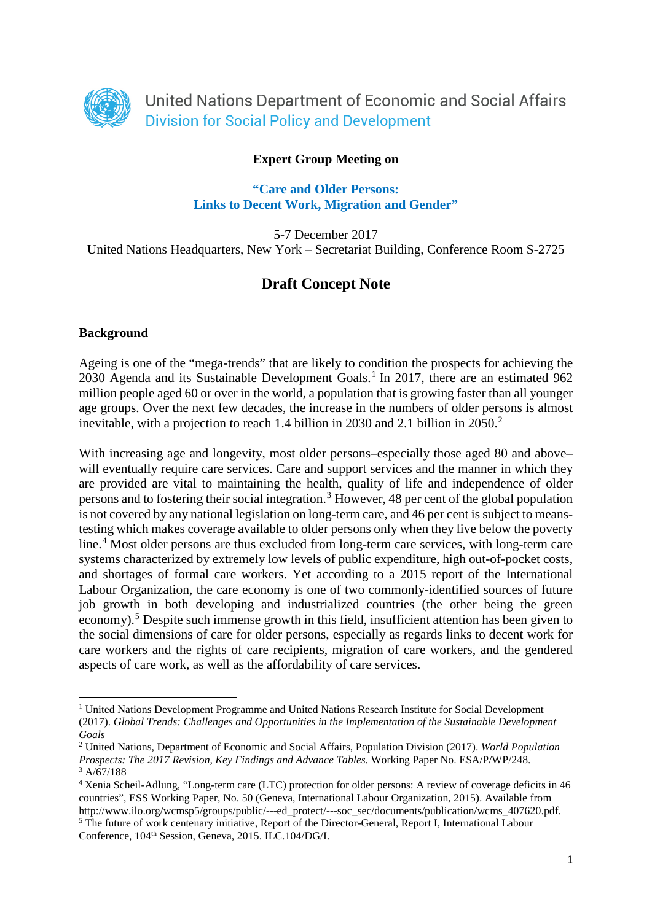

## **Expert Group Meeting on**

#### **"Care and Older Persons: Links to Decent Work, Migration and Gender"**

5-7 December 2017 United Nations Headquarters, New York – Secretariat Building, Conference Room S-2725

# **Draft Concept Note**

#### **Background**

 $\overline{a}$ 

Ageing is one of the "mega-trends" that are likely to condition the prospects for achieving the 2030 Agenda and its Sustainable Development Goals. [1](#page-0-0) In 2017, there are an estimated 962 million people aged 60 or over in the world, a population that is growing faster than all younger age groups. Over the next few decades, the increase in the numbers of older persons is almost inevitable, with a projection to reach 1.4 billion in 2030 and 2.1 billion in 2050. [2](#page-0-1)

With increasing age and longevity, most older persons–especially those aged 80 and above– will eventually require care services. Care and support services and the manner in which they are provided are vital to maintaining the health, quality of life and independence of older persons and to fostering their social integration. [3](#page-0-2) However, 48 per cent of the global population is not covered by any national legislation on long-term care, and 46 per cent is subject to meanstesting which makes coverage available to older persons only when they live below the poverty line.<sup>[4](#page-0-3)</sup> Most older persons are thus excluded from long-term care services, with long-term care systems characterized by extremely low levels of public expenditure, high out-of-pocket costs, and shortages of formal care workers. Yet according to a 2015 report of the International Labour Organization, the care economy is one of two commonly-identified sources of future job growth in both developing and industrialized countries (the other being the green economy).<sup>[5](#page-0-4)</sup> Despite such immense growth in this field, insufficient attention has been given to the social dimensions of care for older persons, especially as regards links to decent work for care workers and the rights of care recipients, migration of care workers, and the gendered aspects of care work, as well as the affordability of care services.

<span id="page-0-0"></span><sup>1</sup> United Nations Development Programme and United Nations Research Institute for Social Development (2017). *Global Trends: Challenges and Opportunities in the Implementation of the Sustainable Development Goals*

<span id="page-0-1"></span><sup>2</sup> United Nations, Department of Economic and Social Affairs, Population Division (2017). *World Population Prospects: The 2017 Revision, Key Findings and Advance Tables.* Working Paper No. ESA/P/WP/248. 3 A/67/188

<span id="page-0-4"></span><span id="page-0-3"></span><span id="page-0-2"></span><sup>4</sup> Xenia Scheil-Adlung, "Long-term care (LTC) protection for older persons: A review of coverage deficits in 46 countries", ESS Working Paper, No. 50 (Geneva, International Labour Organization, 2015). Available from http://www.ilo.org/wcmsp5/groups/public/---ed\_protect/---soc\_sec/documents/publication/wcms\_407620.pdf. <sup>5</sup> The future of work centenary initiative, Report of the Director-General, Report I, International Labour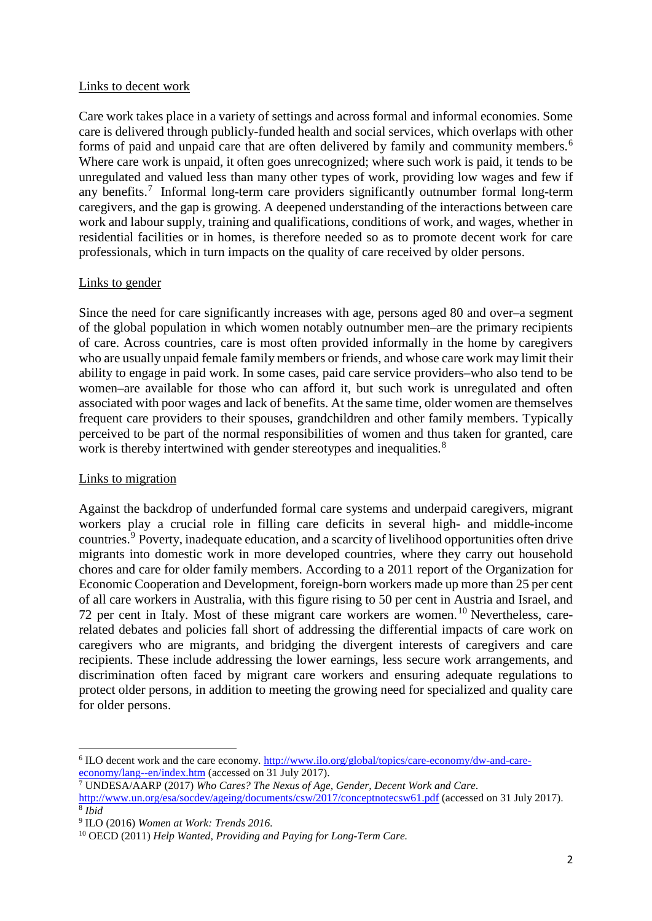### Links to decent work

Care work takes place in a variety of settings and across formal and informal economies. Some care is delivered through publicly-funded health and social services, which overlaps with other forms of paid and unpaid care that are often delivered by family and community members. [6](#page-1-0) Where care work is unpaid, it often goes unrecognized; where such work is paid, it tends to be unregulated and valued less than many other types of work, providing low wages and few if any benefits.[7](#page-1-1) Informal long-term care providers significantly outnumber formal long-term caregivers, and the gap is growing. A deepened understanding of the interactions between care work and labour supply, training and qualifications, conditions of work, and wages, whether in residential facilities or in homes, is therefore needed so as to promote decent work for care professionals, which in turn impacts on the quality of care received by older persons.

### Links to gender

Since the need for care significantly increases with age, persons aged 80 and over–a segment of the global population in which women notably outnumber men–are the primary recipients of care. Across countries, care is most often provided informally in the home by caregivers who are usually unpaid female family members or friends, and whose care work may limit their ability to engage in paid work. In some cases, paid care service providers–who also tend to be women–are available for those who can afford it, but such work is unregulated and often associated with poor wages and lack of benefits. At the same time, older women are themselves frequent care providers to their spouses, grandchildren and other family members. Typically perceived to be part of the normal responsibilities of women and thus taken for granted, care work is thereby intertwined with gender stereotypes and inequalities.<sup>[8](#page-1-2)</sup>

### Links to migration

**.** 

Against the backdrop of underfunded formal care systems and underpaid caregivers, migrant workers play a crucial role in filling care deficits in several high- and middle-income countries. [9](#page-1-3) Poverty, inadequate education, and a scarcity of livelihood opportunities often drive migrants into domestic work in more developed countries, where they carry out household chores and care for older family members. According to a 2011 report of the Organization for Economic Cooperation and Development, foreign-born workers made up more than 25 per cent of all care workers in Australia, with this figure rising to 50 per cent in Austria and Israel, and 72 per cent in Italy. Most of these migrant care workers are women. [10](#page-1-4) Nevertheless, carerelated debates and policies fall short of addressing the differential impacts of care work on caregivers who are migrants, and bridging the divergent interests of caregivers and care recipients. These include addressing the lower earnings, less secure work arrangements, and discrimination often faced by migrant care workers and ensuring adequate regulations to protect older persons, in addition to meeting the growing need for specialized and quality care for older persons.

<span id="page-1-0"></span><sup>6</sup> ILO decent work and the care economy. [http://www.ilo.org/global/topics/care-economy/dw-and-care](http://www.ilo.org/global/topics/care-economy/dw-and-care-economy/lang--en/index.htm)[economy/lang--en/index.htm](http://www.ilo.org/global/topics/care-economy/dw-and-care-economy/lang--en/index.htm) (accessed on 31 July 2017).

<span id="page-1-1"></span><sup>7</sup> UNDESA/AARP (2017) *Who Cares? The Nexus of Age, Gender, Decent Work and Care*. <http://www.un.org/esa/socdev/ageing/documents/csw/2017/conceptnotecsw61.pdf> (accessed on 31 July 2017). <sup>8</sup> *Ibid*

<span id="page-1-3"></span><span id="page-1-2"></span><sup>9</sup> ILO (2016) *Women at Work: Trends 2016.*

<span id="page-1-4"></span><sup>10</sup> OECD (2011) *Help Wanted, Providing and Paying for Long-Term Care.*